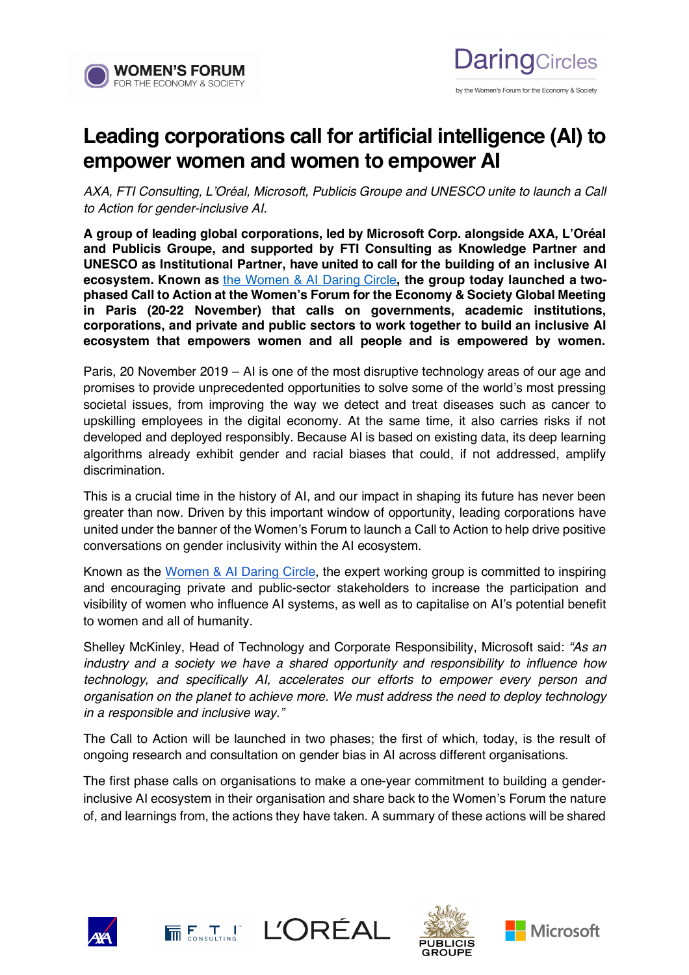

## **Leading corporations call for artificial intelligence (AI) to empower women and women to empower AI**

**DaringCircles** 

by the Women's Forum for the Economy & Society

*AXA, FTI Consulting, L'Oréal, Microsoft, Publicis Groupe and UNESCO unite to launch a Call to Action for gender-inclusive AI.* 

**A group of leading global corporations, led by Microsoft Corp. alongside AXA, L'Oréal and Publicis Groupe, and supported by FTI Consulting as Knowledge Partner and UNESCO as Institutional Partner, have united to call for the building of an inclusive AI ecosystem. Known as** [the Women & AI Daring Circle](http://www.womens-forum.com/initiatives/women-and-AI)**, the group today launched a twophased Call to Action at the Women's Forum for the Economy & Society Global Meeting in Paris (20-22 November) that calls on governments, academic institutions, corporations, and private and public sectors to work together to build an inclusive AI ecosystem that empowers women and all people and is empowered by women.** 

Paris, 20 November 2019 – AI is one of the most disruptive technology areas of our age and promises to provide unprecedented opportunities to solve some of the world's most pressing societal issues, from improving the way we detect and treat diseases such as cancer to upskilling employees in the digital economy. At the same time, it also carries risks if not developed and deployed responsibly. Because AI is based on existing data, its deep learning algorithms already exhibit gender and racial biases that could, if not addressed, amplify discrimination.

This is a crucial time in the history of AI, and our impact in shaping its future has never been greater than now. Driven by this important window of opportunity, leading corporations have united under the banner of the Women's Forum to launch a Call to Action to help drive positive conversations on gender inclusivity within the AI ecosystem.

Known as the [Women & AI Daring Circle,](http://www.womens-forum.com/initiatives/women-and-AI) the expert working group is committed to inspiring and encouraging private and public-sector stakeholders to increase the participation and visibility of women who influence AI systems, as well as to capitalise on AI's potential benefit to women and all of humanity.

Shelley McKinley, Head of Technology and Corporate Responsibility, Microsoft said: *"As an industry and a society we have a shared opportunity and responsibility to influence how technology, and specifically AI, accelerates our efforts to empower every person and organisation on the planet to achieve more. We must address the need to deploy technology in a responsible and inclusive way."*

The Call to Action will be launched in two phases; the first of which, today, is the result of ongoing research and consultation on gender bias in AI across different organisations.

The first phase calls on organisations to make a one-year commitment to building a genderinclusive AI ecosystem in their organisation and share back to the Women's Forum the nature of, and learnings from, the actions they have taken. A summary of these actions will be shared